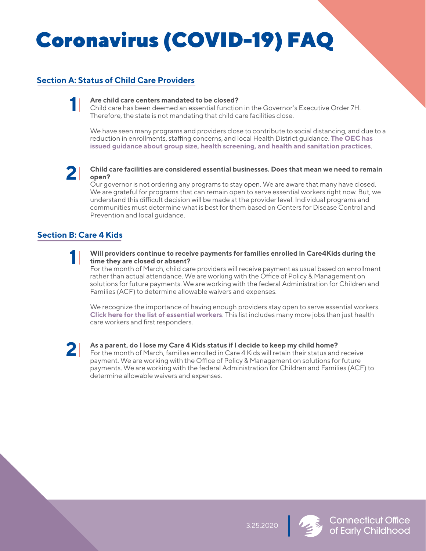# Coronavirus (COVID-19) FAQ

# **Section A: Status of Child Care Providers**

**Are child care centers mandated to be closed?**  Child care has been deemed an essential function in the Governor's Executive Order 7H. Therefore, the state is not mandating that child care facilities close. **1**

We have seen many programs and providers close to contribute to social distancing, and due to a reduction in enrollments, staffing concerns, and local Health District guidance. The OEC has **[issued guidance about group size, health screening, and health and sanitation practices](https://www.ct.gov/oec/lib/oec/Child_Care_for_Essential_Workers_During_the_Coronavirus_C4.pdf)**.



### **Child care facilities are considered essential businesses. Does that mean we need to remain open?**

Our governor is not ordering any programs to stay open. We are aware that many have closed. We are grateful for programs that can remain open to serve essential workers right now. But, we understand this difficult decision will be made at the provider level. Individual programs and communities must determine what is best for them based on Centers for Disease Control and Prevention and local guidance.

# **Section B: Care 4 Kids**

**Will providers continue to receive payments for families enrolled in Care4Kids during the time they are closed or absent? 1**

For the month of March, child care providers will receive payment as usual based on enrollment rather than actual attendance. We are working with the Office of Policy & Management on solutions for future payments. We are working with the federal Administration for Children and Families (ACF) to determine allowable waivers and expenses.

We recognize the importance of having enough providers stay open to serve essential workers. **[Click here for the list of essential workers](https://portal.ct.gov/DECD/Content/Coronavirus-for-Businesses/Coronavirus-for-Businesses)**. This list includes many more jobs than just health care workers and first responders.



## **As a parent, do I lose my Care 4 Kids status if I decide to keep my child home?**

For the month of March, families enrolled in Care 4 Kids will retain their status and receive payment. We are working with the Office of Policy & Management on solutions for future payments. We are working with the federal Administration for Children and Families (ACF) to determine allowable waivers and expenses.



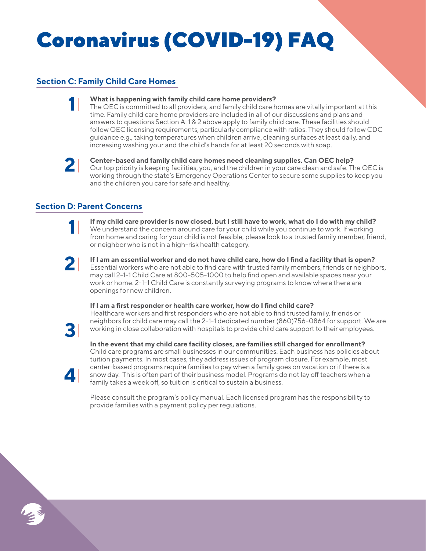# Coronavirus (COVID-19) FAQ

# **Section C: Family Child Care Homes**



### **What is happening with family child care home providers?**

The OEC is committed to all providers, and family child care homes are vitally important at this time. Family child care home providers are included in all of our discussions and plans and answers to questions Section A: 1 & 2 above apply to family child care. These facilities should follow OEC licensing requirements, particularly compliance with ratios. They should follow CDC guidance e.g., taking temperatures when children arrive, cleaning surfaces at least daily, and increasing washing your and the child's hands for at least 20 seconds with soap.



#### **Center-based and family child care homes need cleaning supplies. Can OEC help?**

Our top priority is keeping facilities, you, and the children in your care clean and safe. The OEC is working through the state's Emergency Operations Center to secure some supplies to keep you and the children you care for safe and healthy.

## **Section D: Parent Concerns**



**If my child care provider is now closed, but I still have to work, what do I do with my child?** We understand the concern around care for your child while you continue to work. If working from home and caring for your child is not feasible, please look to a trusted family member, friend, or neighbor who is not in a high-risk health category.



**If I am an essential worker and do not have child care, how do I find a facility that is open?** Essential workers who are not able to find care with trusted family members, friends or neighbors, may call 2-1-1 Child Care at 800-505-1000 to help find open and available spaces near your work or home. 2-1-1 Child Care is constantly surveying programs to know where there are openings for new children.

## **If I am a first responder or health care worker, how do I find child care?**



**4**

Healthcare workers and first responders who are not able to find trusted family, friends or neighbors for child care may call the 2-1-1 dedicated number (860)756-0864 for support. We are working in close collaboration with hospitals to provide child care support to their employees.

**In the event that my child care facility closes, are families still charged for enrollment?** Child care programs are small businesses in our communities. Each business has policies about tuition payments. In most cases, they address issues of program closure. For example, most center-based programs require families to pay when a family goes on vacation or if there is a snow day. This is often part of their business model. Programs do not lay off teachers when a family takes a week off, so tuition is critical to sustain a business.

Please consult the program's policy manual. Each licensed program has the responsibility to provide families with a payment policy per regulations.